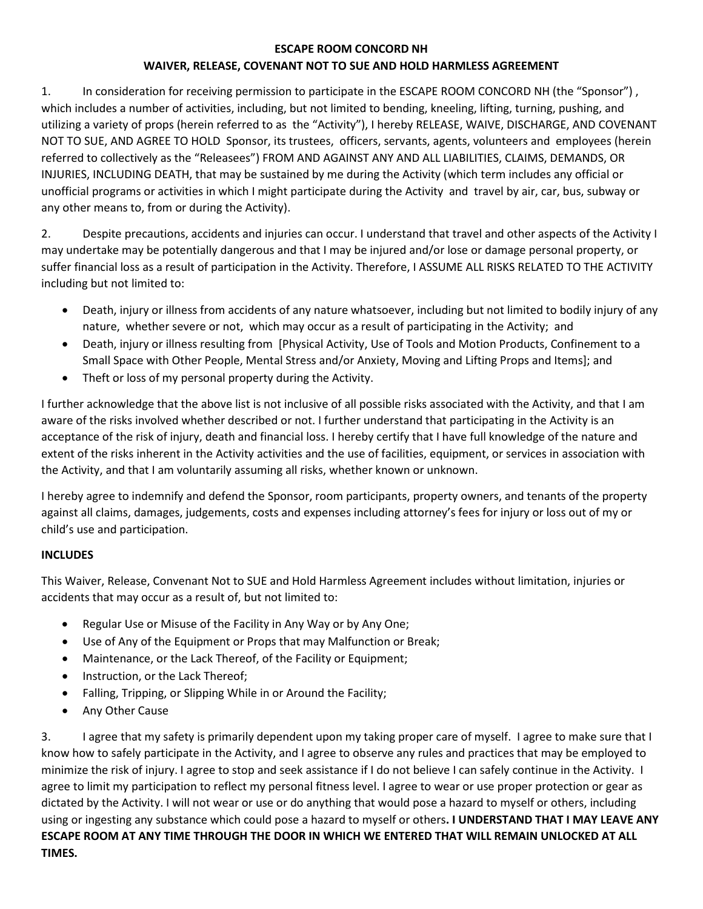## **ESCAPE ROOM CONCORD NH WAIVER, RELEASE, COVENANT NOT TO SUE AND HOLD HARMLESS AGREEMENT**

1. In consideration for receiving permission to participate in the ESCAPE ROOM CONCORD NH (the "Sponsor") , which includes a number of activities, including, but not limited to bending, kneeling, lifting, turning, pushing, and utilizing a variety of props (herein referred to as the "Activity"), I hereby RELEASE, WAIVE, DISCHARGE, AND COVENANT NOT TO SUE, AND AGREE TO HOLD Sponsor, its trustees, officers, servants, agents, volunteers and employees (herein referred to collectively as the "Releasees") FROM AND AGAINST ANY AND ALL LIABILITIES, CLAIMS, DEMANDS, OR INJURIES, INCLUDING DEATH, that may be sustained by me during the Activity (which term includes any official or unofficial programs or activities in which I might participate during the Activity and travel by air, car, bus, subway or any other means to, from or during the Activity).

2. Despite precautions, accidents and injuries can occur. I understand that travel and other aspects of the Activity I may undertake may be potentially dangerous and that I may be injured and/or lose or damage personal property, or suffer financial loss as a result of participation in the Activity. Therefore, I ASSUME ALL RISKS RELATED TO THE ACTIVITY including but not limited to:

- Death, injury or illness from accidents of any nature whatsoever, including but not limited to bodily injury of any nature, whether severe or not, which may occur as a result of participating in the Activity; and
- Death, injury or illness resulting from [Physical Activity, Use of Tools and Motion Products, Confinement to a Small Space with Other People, Mental Stress and/or Anxiety, Moving and Lifting Props and Items]; and
- Theft or loss of my personal property during the Activity.

I further acknowledge that the above list is not inclusive of all possible risks associated with the Activity, and that I am aware of the risks involved whether described or not. I further understand that participating in the Activity is an acceptance of the risk of injury, death and financial loss. I hereby certify that I have full knowledge of the nature and extent of the risks inherent in the Activity activities and the use of facilities, equipment, or services in association with the Activity, and that I am voluntarily assuming all risks, whether known or unknown.

I hereby agree to indemnify and defend the Sponsor, room participants, property owners, and tenants of the property against all claims, damages, judgements, costs and expenses including attorney's fees for injury or loss out of my or child's use and participation.

# **INCLUDES**

This Waiver, Release, Convenant Not to SUE and Hold Harmless Agreement includes without limitation, injuries or accidents that may occur as a result of, but not limited to:

- Regular Use or Misuse of the Facility in Any Way or by Any One;
- Use of Any of the Equipment or Props that may Malfunction or Break;
- Maintenance, or the Lack Thereof, of the Facility or Equipment;
- Instruction, or the Lack Thereof;
- Falling, Tripping, or Slipping While in or Around the Facility;
- Any Other Cause

3. I agree that my safety is primarily dependent upon my taking proper care of myself. I agree to make sure that I know how to safely participate in the Activity, and I agree to observe any rules and practices that may be employed to minimize the risk of injury. I agree to stop and seek assistance if I do not believe I can safely continue in the Activity. I agree to limit my participation to reflect my personal fitness level. I agree to wear or use proper protection or gear as dictated by the Activity. I will not wear or use or do anything that would pose a hazard to myself or others, including using or ingesting any substance which could pose a hazard to myself or others**. I UNDERSTAND THAT I MAY LEAVE ANY ESCAPE ROOM AT ANY TIME THROUGH THE DOOR IN WHICH WE ENTERED THAT WILL REMAIN UNLOCKED AT ALL TIMES.**